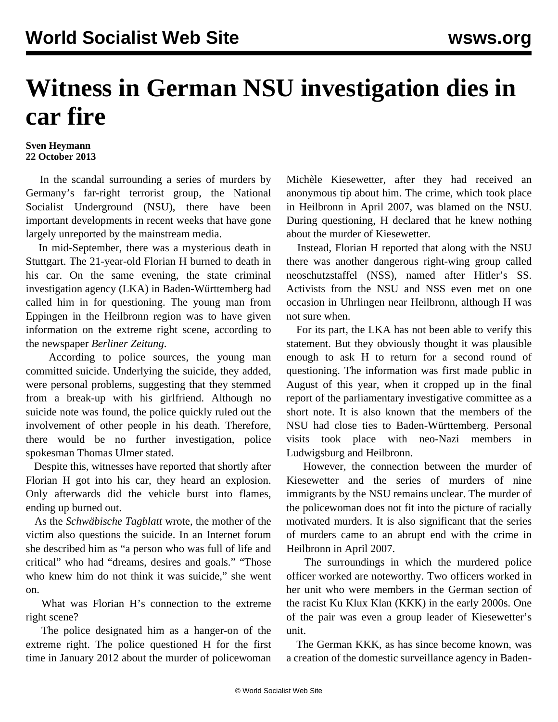## **Witness in German NSU investigation dies in car fire**

## **Sven Heymann 22 October 2013**

 In the scandal surrounding a series of murders by Germany's far-right terrorist group, the National Socialist Underground (NSU), there have been important developments in recent weeks that have gone largely unreported by the mainstream media.

 In mid-September, there was a mysterious death in Stuttgart. The 21-year-old Florian H burned to death in his car. On the same evening, the state criminal investigation agency (LKA) in Baden-Württemberg had called him in for questioning. The young man from Eppingen in the Heilbronn region was to have given information on the extreme right scene, according to the newspaper *Berliner Zeitung*.

 According to police sources, the young man committed suicide. Underlying the suicide, they added, were personal problems, suggesting that they stemmed from a break-up with his girlfriend. Although no suicide note was found, the police quickly ruled out the involvement of other people in his death. Therefore, there would be no further investigation, police spokesman Thomas Ulmer stated.

 Despite this, witnesses have reported that shortly after Florian H got into his car, they heard an explosion. Only afterwards did the vehicle burst into flames, ending up burned out.

 As the *Schwäbische Tagblatt* wrote, the mother of the victim also questions the suicide. In an Internet forum she described him as "a person who was full of life and critical" who had "dreams, desires and goals." "Those who knew him do not think it was suicide," she went on.

 What was Florian H's connection to the extreme right scene?

 The police designated him as a hanger-on of the extreme right. The police questioned H for the first time in January 2012 about the murder of policewoman

Michèle Kiesewetter, after they had received an anonymous tip about him. The crime, which took place in Heilbronn in April 2007, was blamed on the NSU. During questioning, H declared that he knew nothing about the murder of Kiesewetter.

 Instead, Florian H reported that along with the NSU there was another dangerous right-wing group called neoschutzstaffel (NSS), named after Hitler's SS. Activists from the NSU and NSS even met on one occasion in Uhrlingen near Heilbronn, although H was not sure when.

 For its part, the LKA has not been able to verify this statement. But they obviously thought it was plausible enough to ask H to return for a second round of questioning. The information was first made public in August of this year, when it cropped up in the final report of the parliamentary investigative committee as a short note. It is also known that the members of the NSU had close ties to Baden-Württemberg. Personal visits took place with neo-Nazi members in Ludwigsburg and Heilbronn.

 However, the connection between the murder of Kiesewetter and the series of murders of nine immigrants by the NSU remains unclear. The murder of the policewoman does not fit into the picture of racially motivated murders. It is also significant that the series of murders came to an abrupt end with the crime in Heilbronn in April 2007.

 The surroundings in which the murdered police officer worked are noteworthy. Two officers worked in her unit who were members in the German section of the racist Ku Klux Klan (KKK) in the early 2000s. One of the pair was even a group leader of Kiesewetter's unit.

 The German KKK, as has since become known, was a creation of the domestic surveillance agency in Baden